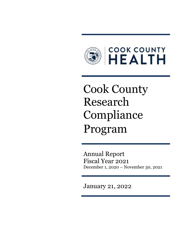

# Cook County Research Compliance Program

Annual Report Fiscal Year 2021 December 1, 2020 – November 30, 2021

January 21, 2022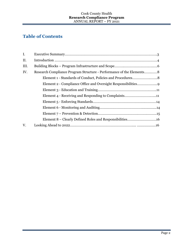# **Table of Contents**

| I.   |                                                                      |
|------|----------------------------------------------------------------------|
| II.  |                                                                      |
| III. |                                                                      |
| IV.  | Research Compliance Program Structure - Performance of the Elements8 |
|      |                                                                      |
|      |                                                                      |
|      |                                                                      |
|      |                                                                      |
|      |                                                                      |
|      |                                                                      |
|      |                                                                      |
|      |                                                                      |
| V.   |                                                                      |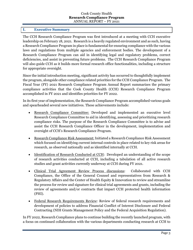# **I. Executive Summary**

The CCH Research Compliance Program was first introduced at a meeting with CCH executive leadership on February 18, 2021. Research is a heavily regulated environment and as such, having a Research Compliance Program in place is fundamental for ensuring compliance with the various laws and regulations from multiple agencies and enforcement bodies. The development of a Research Compliance Program can aid in identifying legal and regulatory problems, correct deficiencies, and assist in preventing future problems. The CCH Research Compliance Program will also guide CCH as it builds more formal research office functionalities, including a structure for appropriate oversight.

Since the initial introduction meeting, significant activity has occurred to thoughtfully implement the program, alongside other compliance related priorities for the CCH Compliance Program. The Fiscal Year (FY) 2021 Research Compliance Program Annual Report summarizes the primary compliance activities that the Cook County Health (CCH) Research Compliance Program accomplished in FY 2021 and identifies priorities for FY 2022.

In its first year of implementation, the Research Compliance Program accomplished various goals and spearheaded several new initiatives. These achievements include:

- Research Compliance Committee: Developed and implemented an executive level Research Compliance Committee to aid in identifying, assessing and prioritizing research compliance risks. The purpose of the Research Compliance Committee is to advise and assist the CCH Research Compliance Officer in the development, implementation and oversight of CCH's Research Compliance Program.
- Research Compliance Risk Assessment: Initiated a Research Compliance Risk Assessment which focused on identifying current internal controls in place related to key risk areas for research, as observed nationally and as identified internally at CCH.
- Identification of Research Conducted at CCH: Developed an understanding of the scope of research activities conducted at CCH, including a tabulation of all active research studies and grant activities currently underway at CCH during FY 2021.
- Clinical Trial Agreement Review Process discussions: Collaborated with CCH Compliance, the Office of the General Counsel and representatives from Research & Regulatory Affairs and the Center of Health Equity & Innovation to review and streamline the process for review and signature for clinical trial agreements and grants, including the review of agreements and/or contracts that impact CCH protected health information (PHI).
- Federal Research Requirements Review: Review of federal research requirements and development of policies to address Financial Conflict of Interest Disclosure and Federal Contracting (NIH Grants Management Policy and the Federal Acquisition Regulation).

In FY 2022, Research Compliance plans to continue building the recently launched program, with a focus on continued collaboration with the various departments conducting research at CCH to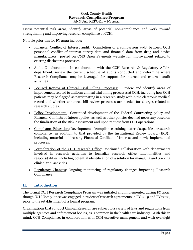assess potential risk areas, identify areas of potential non-compliance and work toward strengthening and improving research compliance at CCH.

Notable priorities for FY 2022 include:

- Financial Conflict of Interest audit: Completion of a comparison audit between CCH personnel conflict of interest survey data and financial data from drug and device manufacturers posted on CMS Open Payments website for improvement related to existing disclosures processes.
- Audit Collaboration: In collaboration with the CCH Research & Regulatory Affairs department, review the current schedule of audits conducted and determine where Research Compliance may be leveraged for support for internal and external audit activities.
- Focused Review of Clinical Trial Billing Processes: Review and identify areas of improvement related to uniform clinical trial billing processes at CCH, including how CCH patients may be flagged as participating in a research study within the electronic medical record and whether enhanced bill review processes are needed for charges related to research studies.
- Policy Development: Continued development of the Federal Contracting policy and Financial Conflicts of Interest policy, as well as other policies deemed necessary based on the finalization of the Risk Assessment and upon request from CCH operations.
- Compliance Education: Development of compliance training materials specific to research compliance (in addition to that provided by the Institutional Review Board (IRB)), including materials addressing Financial Conflicts of Interest and newly implemented processes.
- Formalization of the CCH Research Office: Continued collaboration with departments involved in research activities to formalize research office functionalities and responsibilities, including potential identification of a solution for managing and tracking clinical trial activities.
- Regulatory Changes: Ongoing monitoring of regulatory changes impacting Research Compliance.

# **II. Introduction**

The formal CCH Research Compliance Program was initiated and implemented during FY 2021, though CCH Compliance was engaged in review of research agreements in FY 2019 and FY 2020, prior to the establishment of a formal program.

Organizations that conduct Clinical Research are subject to a variety of laws and regulations from multiple agencies and enforcement bodies, as is common in the health care industry. With this in mind, CCH Compliance, in collaboration with CCH executive management and with oversight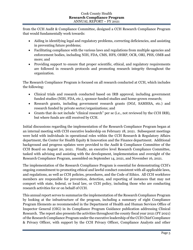from the CCH Audit & Compliance Committee, designed a CCH Research Compliance Program that would fundamentally work towards:

- Aiding in identifying legal and regulatory problems, correcting deficiencies, and assisting in preventing future problems;
- Facilitating compliance with the various laws and regulations from multiple agencies and enforcement bodies, including NIH, FDA, CMS, HFS, OHRP, OCR, ORI, PHS, OMB and more; and
- Providing support to ensure that proper scientific, ethical, and regulatory requirements are followed in research protocols and promoting research integrity throughout the organization.

The Research Compliance Program is focused on all research conducted at CCH, which includes the following:

- Clinical trials and research conducted based on IRB approval, including government funded studies (NIH, FDA, etc.), sponsor funded studies and home-grown research;
- Research grants, including government research grants (DOJ, SAMHSA, etc.) and research funded by private sector/organizations; and
- Grants that do not include "clinical research" per se (i.e., not reviewed by the CCH IRB), but where funds are still received by CCH.

Initial discussions regarding the implementation of the Research Compliance Program began at an internal meeting with CCH executive leadership on February 18, 2021. Subsequent meetings were held with individuals in operational roles within the CCH Research & Regulatory Affairs department, the Center for Health Equity & Innovation and the Finance department. Additional background and progress updates were provided to the Audit & Compliance Committee of the CCH Board on August 20, 2021. Finally, an executive level Research Compliance Committee, tasked with advising and assisting with the development, implementation and oversight of the Research Compliance Program, assembled on September 14, 2021, and November 16, 2021.

The implementation of the Research Compliance Program is essential for demonstrating CCH's ongoing commitment to promoting ethical and lawful conduct consistent with all applicable laws, and regulations, as well as CCH policies, procedures, and the Code of Ethics. All CCH workforce members are responsible for prevention, detection, and reporting of instances that may not comport with state, federal, or local law, or CCH policy, including those who are conducting research activities for or on behalf of CCH.

This annual report serves to summarize the implementation of the Research Compliance Program by looking at the infrastructure of the program, including a summary of eight Compliance Program Elements as recommended in the Department of Health and Human Services Office of Inspector General (OIG) in its Compliance Program Guidance publication addressing Clinical Research. The report also presents the activities throughout the county fiscal year 2021 (FY 2021) of the Research Compliance Program under the executive leadership of the CCH Chief Compliance & Privacy Officer, with support by the CCH Privacy Officer, Compliance Analysts and other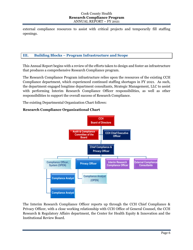external compliance resources to assist with critical projects and temporarily fill staffing openings.

# **III. Building Blocks – Program Infrastructure and Scope**

This Annual Report begins with a review of the efforts taken to design and foster an infrastructure that produces a comprehensive Research Compliance program.

The Research Compliance Program infrastructure relies upon the resources of the existing CCH Compliance department, which experienced continued staffing shortages in FY 2021. As such, the department engaged longtime department consultants, Strategic Management, LLC to assist with performing Interim Research Compliance Officer responsibilities, as well as other responsibilities to support the overall success of Research Compliance.

The existing Departmental Organization Chart follows:

# **Research Compliance Organizational Chart**



The Interim Research Compliance Officer reports up through the CCH Chief Compliance & Privacy Officer, with a close working relationship with CCH Office of General Counsel, the CCH Research & Regulatory Affairs department, the Center for Health Equity & Innovation and the Institutional Review Board.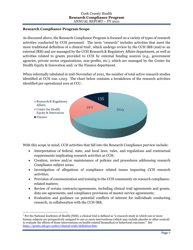#### **Research Compliance Program Scope**

As discussed above, the Research Compliance Program is focused on a variety of types of research activities conducted by CCH personnel. The term "research" includes activities that meet the more traditional definition of a clinical trial<sup>1</sup>, which undergo review by the CCH IRB (and/or an external IRB) and are managed by the CCH Research & Regulatory Affairs department, as well as activities related to grants provided to CCH by external funding sources (e.g., government agencies, private sector organizations, non-profits, etc.), which are managed by the Center for Health Equity & Innovation and/ or the Finance department.

When informally tabulated in mid-November of 2021, the number of total active research studies identified at CCH was 1,023. The chart below contains a breakdown of the research activities identified per operational area at CCC:



With this scope in mind, CCH activities that fall into the Research Compliance purview include:

- Interpretation of federal, state, and local laws, rules, and regulations and contractual requirements implicating research activities at CCH;
- Creation, review and/or maintenance of policies and procedures addressing research Compliance subject areas;
- Investigation of allegations of compliance related issues impacting CCH research activities;
- Provision of communication and training to the CCH community on research compliancerelated matters;
- Review of certain contracts/agreements, including clinical trial agreements and grants, data use agreements, and compliance provisions of master service agreements;
- Evaluation and guidance on potential conflicts of interest for individuals conducting research, in collaboration with the CCH IRB;

 $1$  Per the National Institutes of Health (NIH), a clinical trial is defined as "a research study in which one or more human subjects are prospectively assigned to one or more interventions (which may include placebo or other control) to evaluate the effects of those interventions on health-related biomedical or behavioral outcomes." See https://grants.nih.gov/policy/clinical-trials/definition.htm.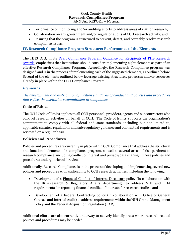- Performance of monitoring and/or auditing efforts to address areas of risk for research;
- Collaboration on any government and/or regulator audits of CCH research activity; and
- Ensuring that the program is structured to prevent, detect, and equitably resolve research compliance issues.

**IV.Research Compliance Program Structure: Performance of the Elements**

The HHS OIG, in its Draft Compliance Program Guidance for Recipients of PHS Research Awards, emphasizes that institutions should consider implementing eight elements as part of an effective Research Compliance Program. Accordingly, the Research Compliance program was designed and is in the process of implementing each of the suggested elements, as outlined below. Several of the elements outlined below leverage existing structures, processes and/or resources already in place within the CCH Compliance Program.

# *Element 1*

*The development and distribution of written standards of conduct and policies and procedures that reflect the institution's commitment to compliance.* 

#### **Code of Ethics**

The CCH Code of Ethics applies to all CCH personnel, providers, agents and subcontractors who conduct research activities on behalf of CCH. The Code of Ethics supports the organization's commitment to comply with all federal and state standards, including but not limited to, applicable statutes, regulations and sub-regulatory guidance and contractual requirements and is reviewed on a regular basis.

#### **Policies and Procedures**

Policies and procedures are currently in place within CCH Compliance that address the structural and functional elements of a compliance program, as well as several areas of risk pertinent to research compliance, including conflict of interest and privacy/data sharing. These policies and procedures undergo triennial review.

Additionally, Research Compliance is in the process of developing and implementing several new policies and procedures with applicability to CCH research activities, including the following:

- Development of a Financial Conflict of Interest Disclosure policy (in collaboration with the IRB/Research & Regulatory Affairs department), to address NIH and FDA requirements for reporting financial conflict of interests for research studies; and
- Development of a Federal Contracting policy (in collaboration with Office of General Counsel and Internal Audit) to address requirements within the NIH Grants Management Policy and the Federal Acquisition Regulation (FAR).

Additional efforts are also currently underway to actively identify areas where research related policies and procedures may be needed.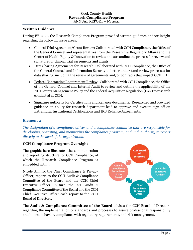## **Written Guidance**

During FY 2021, the Research Compliance Program provided written guidance and/or insight regarding the following issue areas:

- Clinical Trial Agreement/Grant Review: Collaborated with CCH Compliance, the Office of the General Counsel and representatives from the Research & Regulatory Affairs and the Center of Health Equity & Innovation to review and streamline the process for review and signature for clinical trial agreements and grants.
- Data Sharing Agreements for Research: Collaborated with CCH Compliance, the Office of the General Counsel and Information Security to better understand review processes for data sharing, including the review of agreements and/or contracts that impact CCH PHI.
- Federal Contracting Requirement Review: Collaborated with CCH Compliance, the Office of the General Counsel and Internal Audit to review and outline the applicability of the NIH Grants Management Policy and the Federal Acquisition Regulation (FAR) to research conducted at CCH.
- Signature Authority for Certifications and Reliance documents: Researched and provided guidance on ability for research department lead to approve and execute sign off on Extramural Institutional Certifications and IRB Reliance Agreements.

# **Element 2**

*The designation of a compliance officer and a compliance committee that are responsible for developing, operating, and monitoring the compliance program, and with authority to report directly to the head of the organization*.

#### **CCH Compliance Program Oversight**

The graphic here illustrates the communication and reporting structure for CCH Compliance, of which the Research Compliance Program is embedded within.

Nicole Almiro, the Chief Compliance & Privacy Officer, reports to the CCH Audit & Compliance Committee of the Board and the CCH Chief Executive Officer. In turn, the CCH Audit & Compliance Committee of the Board and the CCH Chief Executive Officer each report to the CCH Board of Directors.



The **Audit & Compliance Committee of the Board** advises the CCH Board of Directors regarding the implementation of standards and processes to assure professional responsibility and honest behavior, compliance with regulatory requirements, and risk management.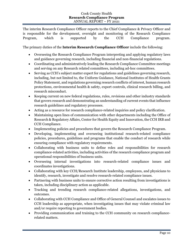The interim Research Compliance Officer reports to the Chief Compliance & Privacy Officer and is responsible for the development, oversight and monitoring of the Research Compliance Program, which is supported by the CCH Compliance program.

The primary duties of the **Interim Research Compliance Officer** include the following:

- Overseeing the Research Compliance Program interpreting and applying regulatory laws and guidance governing research, including financial and non-financial regulations.
- Coordinating and administratively leading the Research Compliance Committee meetings and serving on any Research related committees, including ad-hoc committees.
- Serving as CCH's subject matter expert for regulations and guidelines governing research, including, but not limited to, the Uniform Guidance, National Institutes of Health Grants Policy Statement, and regulations governing research conflicts of interest, human research protections, environmental health & safety, export controls, clinical research billing, and research misconduct.
- Keeping current on new federal regulations, rules, revisions and other industry standards that govern research and demonstrating an understanding of current events that influence research guidelines and regulatory processes.
- Acting as a resource for research compliance-related inquiries and policy clarification.
- Maintaining open lines of communication with other departments including the Office of Research & Regulatory Affairs, Center for Health Equity and Innovation, the CCH IRB and CCH Compliance.
- Implementing policies and procedures that govern the Research Compliance Program.
- Developing, implementing and overseeing institutional research-related compliance policies, procedures, guidelines and programs that enable the conduct of research while ensuring compliance with regulatory requirements.
- Collaborating with business units to define roles and responsibilities for research compliance-related activities, including activities of the research compliance program and operational responsibilities of business units.
- Overseeing internal investigations into research-related compliance issues and coordinates investigations.
- Collaborating with key CCH/Research Institute leadership, employees, and physicians to identify, research, investigate and resolve research-related compliance issues.
- Partnering with business units to ensure corrective action resulting from investigations is taken, including disciplinary action as applicable.
- Tracking and trending research compliance-related allegations, investigations, and outcomes.
- Collaborating with CCH Compliance and Office of General Counsel and escalates issues to CCH leadership as appropriate, when investigating issues that may violate criminal law and/or require reporting to government bodies.
- Providing communication and training to the CCH community on research compliancerelated matters.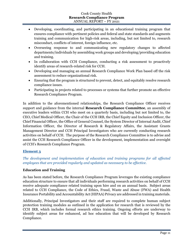- Developing, coordinating, and participating in an educational training program that ensures compliance with pertinent policies and federal and state standards and augments training and communication for high-risk areas, including, but not limited to, research misconduct, conflicts of interest, foreign influence, etc.
- Overseeing response to and communicating new regulatory changes to affected departments/individuals by assembling work groups and developing/providing education and training.
- In collaboration with CCH Compliance, conducting a risk assessment to proactively identify areas of research-related risk for CCH.
- Developing and managing an annual Research Compliance Work Plan based off the risk assessment to reduce organizational risk.
- Ensuring that the program is structured to prevent, detect, and equitably resolve research compliance issues.
- Participating in projects related to processes or systems that further promote an effective Research Compliance Program.

In addition to the aforementioned relationships, the Research Compliance Officer receives support and guidance from the internal **Research Compliance Committee**, an assembly of executive leaders within CCH who meet on a quarterly basis, including but not limited to, the CEO, Chief Medical Officer, the Chair of the CCH IRB, the Chief Equity and Inclusion Officer, the Chief Financial Officer, the Office of General Counsel, the System Director of Internal Audit, Chief Information Officer, the Director of Research & Regulatory Affairs, the Assistant Grants Management Director and CCH Principal Investigators who are currently conducting research activities on behalf of CCH. The purpose of the Research Compliance Committee is to advise and assist the CCH Research Compliance Officer in the development, implementation and oversight of CCH's Research Compliance Program.

# **Element 3**

# *The development and implementation of education and training programs for all affected employees that are provided regularly and updated as necessary to be effective.*

# **Education and Training**

As has been stated before, the Research Compliance Program leverages the existing compliance education structure to ensure that all individuals performing research activities on behalf of CCH receive adequate compliance related training upon hire and on an annual basis. Subject areas related to CCH Compliance, the Code of Ethics, Fraud, Waste and Abuse (FWA) and Health Insurance Portability and Accountability Act(HIPAA) Privacy are addressed in training materials.

Additionally, Principal Investigators and their staff are required to complete human subject protection training modules as outlined in the application for research that is reviewed by the CCH IRB, which includes formal research ethics training. Ongoing efforts are underway to identify subject areas for enhanced, ad hoc education that will be developed by Research Compliance.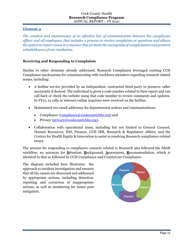# **Element 4**

*The creation and maintenance of an effective line of communication between the compliance officer and all employees, that includes a process to receive complaints or questions and allows the option to report issues in a manner that protects the anonymity of complainants and protects whistleblowers from retaliation.*

#### **Receiving and Responding to Complaints**

Similar to other elements already addressed, Research Compliance leveraged existing CCH Compliance mechanisms for communicating with workforce members regarding research related issues, including:

- A hotline service provided by an independent, contracted third-party to preserve caller anonymity if desired. The individual is given a code number related to their report and can call back or check the website using that code number to review comments and updates. In FY21, 51 calls or internet/online inquiries were received on the hotline.
- Maintained two email addresses for departmental notices and communications:
	- Compliance  $(compliance@cookcountvhhs.org)$  and
	- Privacy (privacy@cookcountyhhs.org).
- Collaboration with operational areas, including but not limited to General Counsel, Human Resources, HIS, Finance, CCH IRB, Research & Regulatory Affairs, and the Centers for Health Equity & Innovation to assist in resolving Research compliance-related issues.

The process for responding to compliance contacts related to Research also followed the SBAR workflow, an acronym for **S**ituation, **B**ackground, **A**ssessment, **R**ecommendation, which is identical to that as followed by CCH Compliance and CountyCare Compliance.

The diagram included here illustrates the approach to incident investigation and ensures that all the causes are discerned and addressed by appropriate actions, including detection, reporting and correction of inappropriate actions, as well as monitoring for issues post mitigation.

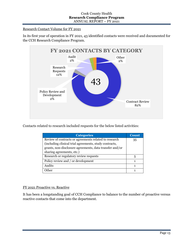#### Research Contact Volume for FY 2021

In its first year of operation in FY 2021, 43 identified contacts were received and documented for the CCH Research Compliance Program.



Contacts related to research included requests for the below listed activities:

| <b>Categories</b>                                       | <b>Count</b> |
|---------------------------------------------------------|--------------|
| Review of contracts or agreements related to research   | 35           |
| (including clinical trial agreements, study contracts,  |              |
| grants, non-disclosure agreements, data transfer and/or |              |
| sharing agreements, etc.)                               |              |
| Research or regulatory review requests                  | 5            |
| Policy review and / or development                      |              |
| Audits                                                  |              |
| Other                                                   |              |

#### FY 2021 Proactive vs. Reactive

It has been a longstanding goal of CCH Compliance to balance to the number of proactive versus reactive contacts that come into the department.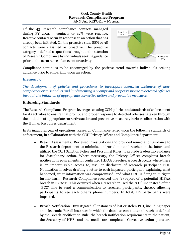Of the 43 Research compliance contacts managed during FY 2021, 5 contacts or 12% were reactive. Reactive contacts occur in response to an action that has already been initiated. On the proactive side, 88% or 38 contacts were classified as proactive. The proactive category is defined as questions brought to the attention of Research Compliance by individuals seeking guidance prior to the occurrence of an event or activity.



Compliance continues to be encouraged by the positive trend towards individuals seeking guidance prior to embarking upon an action.

#### **Element 5**

*The development of policies and procedures to investigate identified instances of noncompliance or misconduct and implementing a prompt and proper response to detected offenses through the initiation of appropriate corrective action and preventive measures.*

#### **Enforcing Standards**

The Research Compliance Program leverages existing CCH policies and standards of enforcement for its activities to ensure that prompt and proper response to detected offenses is taken through the initiation of appropriate corrective action and preventive measures, in close collaboration with the Human Resources department.

In its inaugural year of operations, Research Compliance relied upon the following standards of enforcement, in collaboration with the CCH Privacy Officer and Compliance department:

- Breach Assessments. Reviewed investigations and provided remediation guidance to the Research department to minimize and/or eliminate breaches in the future and utilized the CCH Sanction Policy and Personnel Rules, to provide leadership guidance for disciplinary action. Where necessary, the Privacy Officer completes breach notification requirements for confirmed HIPAA breaches. A breach occurs where there is an impermissible access to, use, or disclosure of research participant PHI. Notification involves drafting a letter to each impacted participant, explaining what happened, what information was compromised, and what CCH is doing to mitigate further harm. Research Compliance received one (1) report of a potential HIPAA breach in FY 2021. This occurred when a researcher used the "CC" line instead of the "BCC" line to send a communication to research participants, thereby allowing participants to see each other's phone numbers. In total, 112 participants were impacted.
- Breach Notification. Investigated all instances of lost or stolen PHI, including paper and electronic. For all instances in which the data loss constitutes a breach as defined by the Breach Notification Rule, the breach notification requirements to the patient, the Secretary of HHS, and the media are completed. Corrective action plans are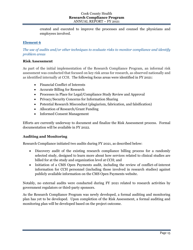created and executed to improve the processes and counsel the physicians and employees involved.

# **Element 6**

*The use of audits and/or other techniques to evaluate risks to monitor compliance and identify problem areas*

#### **Risk Assessment**

As part of the initial implementation of the Research Compliance Program, an informal risk assessment was conducted that focused on key risk areas for research, as observed nationally and as identified internally at CCH. The following focus areas were identified in FY 2021:

- Financial Conflict of Interests
- Accurate Billing for Research
- Processes in Place for Legal/Compliance Study Review and Approval
- Privacy/Security Concerns for Information Sharing
- Potential Research Misconduct (plagiarism, fabrication, and falsification)
- Allocation of Research/Grant Funding
- Informed Consent Management

Efforts are currently underway to document and finalize the Risk Assessment process. Formal documentation will be available in FY 2022.

# **Auditing and Monitoring**

Research Compliance initiated two audits during FY 2021, as described below:

- Discovery audit of the existing research compliance billing process for a randomly selected study, designed to learn more about how services related to clinical studies are billed for at the study and organization level at CCH; and
- Initiation of a CMS Open Payments audit, including the review of conflict-of-interest information for CCH personnel (including those involved in research studies) against publicly available information on the CMS Open Payments website.

Notably, no external audits were conducted during FY 2021 related to research activities by government regulators or third-party sponsors.

As the Research Compliance Program was newly developed, a formal auditing and monitoring plan has yet to be developed. Upon completion of the Risk Assessment, a formal auditing and monitoring plan will be developed based on the project outcome.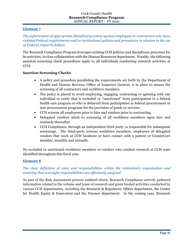# **Element 7**

*The enforcement of appropriate disciplinary action against employees or contractors who have violated Federal requirements and/or institutional policies and procedures in relation to the use of Federal research dollars.*

The Research Compliance Program leverages existing CCH policies and disciplinary processes for its activities, in close collaboration with the Human Resources department. Notably, the following sanction screening check procedures apply to all individuals conducting research activities at CCH:

#### **Sanction Screening Checks**

- A policy and procedure paralleling the requirements set forth by the Department of Health and Human Services, Office of Inspector General, is in place to ensure the screening of all contractors and workforce members.
- The policy is placed to avoid employing, engaging, contracting or agreeing with any individual or entity that is excluded or "sanctioned" from participation in a federal health care program or who is debarred from participation in federal procurement or non-procurement programs for the provision of goods or services.
- CCH screens all employees prior to hire and vendors prior to contracting.
- Delegated vendors attest to screening of all workforce members upon hire and routinely thereafter.
- CCH Compliance, through an independent third party, is responsible for subsequent screenings. The third-party screens workforce members, employees of delegated vendors that work at CCH locations or have contact with a patient or CountyCare member, monthly and annually.

No excluded or sanctioned workforce members or vendors who conduct research at CCH were identified throughout this fiscal year.

#### **Element 8**

# *The clear definition of roles and responsibilities within the institution's organization and ensuring that oversight responsibilities are effectively assigned*

As part of the Risk Assessment process outlined above, Research Compliance actively gathered information related to the volume and types of research and grant funded activities conducted by various CCH departments, including the Research & Regulatory Affairs department, the Center for Health Equity & Innovation and the Finance department. In the coming year, Research